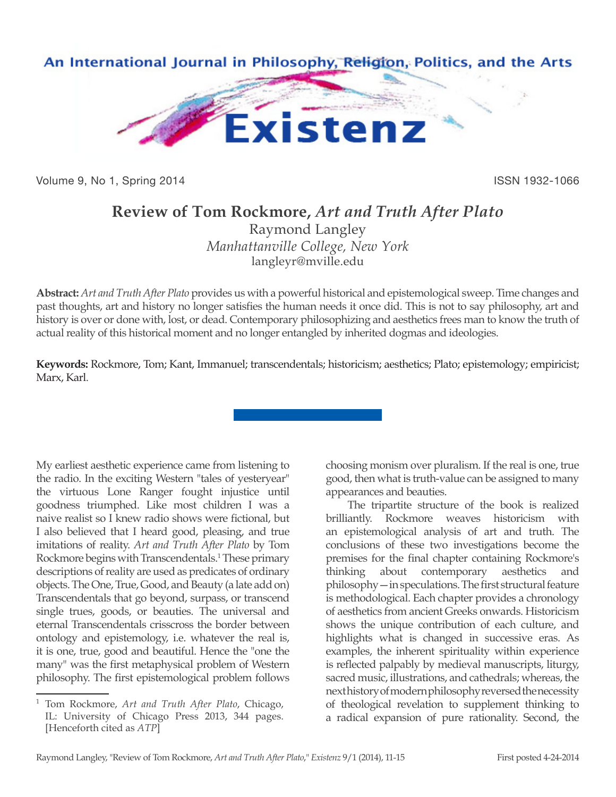

Volume 9, No 1, Spring 2014 **ISSN 1932-1066** ISSN 1932-1066

## **Review of Tom Rockmore,** *Art and Truth After Plato*

Raymond Langley *Manhattanville College, New York* langleyr@mville.edu

**Abstract:** *Art and Truth After Plato* provides us with a powerful historical and epistemological sweep. Time changes and past thoughts, art and history no longer satisfies the human needs it once did. This is not to say philosophy, art and history is over or done with, lost, or dead. Contemporary philosophizing and aesthetics frees man to know the truth of actual reality of this historical moment and no longer entangled by inherited dogmas and ideologies.

**Keywords:** Rockmore, Tom; Kant, Immanuel; transcendentals; historicism; aesthetics; Plato; epistemology; empiricist; Marx, Karl.

My earliest aesthetic experience came from listening to the radio. In the exciting Western "tales of yesteryear" the virtuous Lone Ranger fought injustice until goodness triumphed. Like most children I was a naive realist so I knew radio shows were fictional, but I also believed that I heard good, pleasing, and true imitations of reality. *Art and Truth After Plato* by Tom Rockmore begins with Transcendentals.<sup>1</sup> These primary descriptions of reality are used as predicates of ordinary objects. The One, True, Good, and Beauty (a late add on) Transcendentals that go beyond, surpass, or transcend single trues, goods, or beauties. The universal and eternal Transcendentals crisscross the border between ontology and epistemology, i.e. whatever the real is, it is one, true, good and beautiful. Hence the "one the many" was the first metaphysical problem of Western philosophy. The first epistemological problem follows

<sup>1</sup> Tom Rockmore, *Art and Truth After Plato*, Chicago, IL: University of Chicago Press 2013, 344 pages. [Henceforth cited as *ATP*]

choosing monism over pluralism. If the real is one, true good, then what is truth-value can be assigned to many appearances and beauties.

The tripartite structure of the book is realized brilliantly. Rockmore weaves historicism with an epistemological analysis of art and truth. The conclusions of these two investigations become the premises for the final chapter containing Rockmore's thinking about contemporary aesthetics and philosophy—in speculations. The first structural feature is methodological. Each chapter provides a chronology of aesthetics from ancient Greeks onwards. Historicism shows the unique contribution of each culture, and highlights what is changed in successive eras. As examples, the inherent spirituality within experience is reflected palpably by medieval manuscripts, liturgy, sacred music, illustrations, and cathedrals; whereas, the next history of modern philosophy reversed the necessity of theological revelation to supplement thinking to a radical expansion of pure rationality. Second, the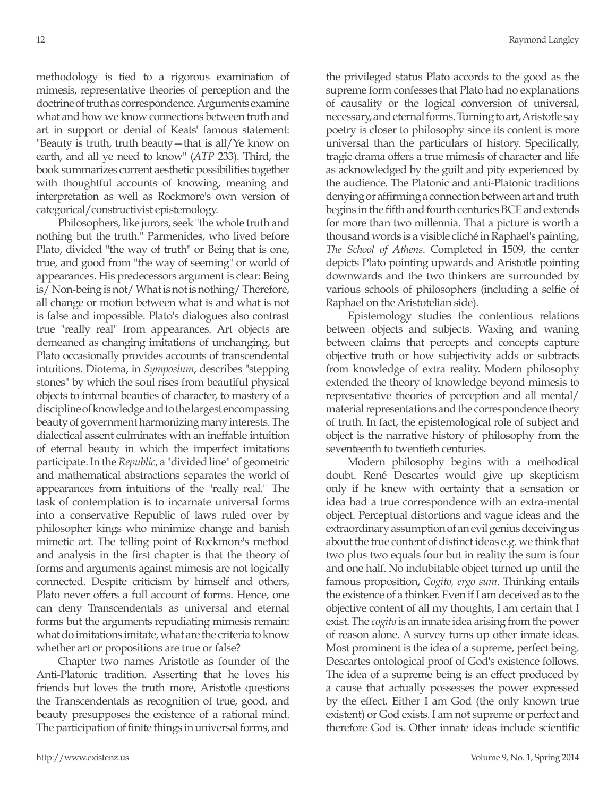methodology is tied to a rigorous examination of mimesis, representative theories of perception and the doctrine of truth as correspondence. Arguments examine what and how we know connections between truth and art in support or denial of Keats' famous statement: "Beauty is truth, truth beauty—that is all/Ye know on earth, and all ye need to know" (*ATP* 233). Third, the book summarizes current aesthetic possibilities together with thoughtful accounts of knowing, meaning and interpretation as well as Rockmore's own version of categorical/constructivist epistemology.

Philosophers, like jurors, seek "the whole truth and nothing but the truth." Parmenides, who lived before Plato, divided "the way of truth" or Being that is one, true, and good from "the way of seeming" or world of appearances. His predecessors argument is clear: Being is/ Non-being is not/ What is not is nothing/ Therefore, all change or motion between what is and what is not is false and impossible. Plato's dialogues also contrast true "really real" from appearances. Art objects are demeaned as changing imitations of unchanging, but Plato occasionally provides accounts of transcendental intuitions. Diotema, in *Symposium*, describes "stepping stones" by which the soul rises from beautiful physical objects to internal beauties of character, to mastery of a discipline of knowledge and to the largest encompassing beauty of government harmonizing many interests. The dialectical assent culminates with an ineffable intuition of eternal beauty in which the imperfect imitations participate. In the *Republic*, a "divided line" of geometric and mathematical abstractions separates the world of appearances from intuitions of the "really real." The task of contemplation is to incarnate universal forms into a conservative Republic of laws ruled over by philosopher kings who minimize change and banish mimetic art. The telling point of Rockmore's method and analysis in the first chapter is that the theory of forms and arguments against mimesis are not logically connected. Despite criticism by himself and others, Plato never offers a full account of forms. Hence, one can deny Transcendentals as universal and eternal forms but the arguments repudiating mimesis remain: what do imitations imitate, what are the criteria to know whether art or propositions are true or false?

Chapter two names Aristotle as founder of the Anti-Platonic tradition. Asserting that he loves his friends but loves the truth more, Aristotle questions the Transcendentals as recognition of true, good, and beauty presupposes the existence of a rational mind. The participation of finite things in universal forms, and the privileged status Plato accords to the good as the supreme form confesses that Plato had no explanations of causality or the logical conversion of universal, necessary, and eternal forms. Turning to art, Aristotle say poetry is closer to philosophy since its content is more universal than the particulars of history. Specifically, tragic drama offers a true mimesis of character and life as acknowledged by the guilt and pity experienced by the audience. The Platonic and anti-Platonic traditions denying or affirming a connection between art and truth begins in the fifth and fourth centuries BCE and extends for more than two millennia. That a picture is worth a thousand words is a visible cliché in Raphael's painting, *The School of Athens*. Completed in 1509, the center depicts Plato pointing upwards and Aristotle pointing downwards and the two thinkers are surrounded by various schools of philosophers (including a selfie of Raphael on the Aristotelian side).

Epistemology studies the contentious relations between objects and subjects. Waxing and waning between claims that percepts and concepts capture objective truth or how subjectivity adds or subtracts from knowledge of extra reality. Modern philosophy extended the theory of knowledge beyond mimesis to representative theories of perception and all mental/ material representations and the correspondence theory of truth. In fact, the epistemological role of subject and object is the narrative history of philosophy from the seventeenth to twentieth centuries.

Modern philosophy begins with a methodical doubt. René Descartes would give up skepticism only if he knew with certainty that a sensation or idea had a true correspondence with an extra-mental object. Perceptual distortions and vague ideas and the extraordinary assumption of an evil genius deceiving us about the true content of distinct ideas e.g. we think that two plus two equals four but in reality the sum is four and one half. No indubitable object turned up until the famous proposition, *Cogito, ergo sum*. Thinking entails the existence of a thinker. Even if I am deceived as to the objective content of all my thoughts, I am certain that I exist. The *cogito* is an innate idea arising from the power of reason alone. A survey turns up other innate ideas. Most prominent is the idea of a supreme, perfect being. Descartes ontological proof of God's existence follows. The idea of a supreme being is an effect produced by a cause that actually possesses the power expressed by the effect. Either I am God (the only known true existent) or God exists. I am not supreme or perfect and therefore God is. Other innate ideas include scientific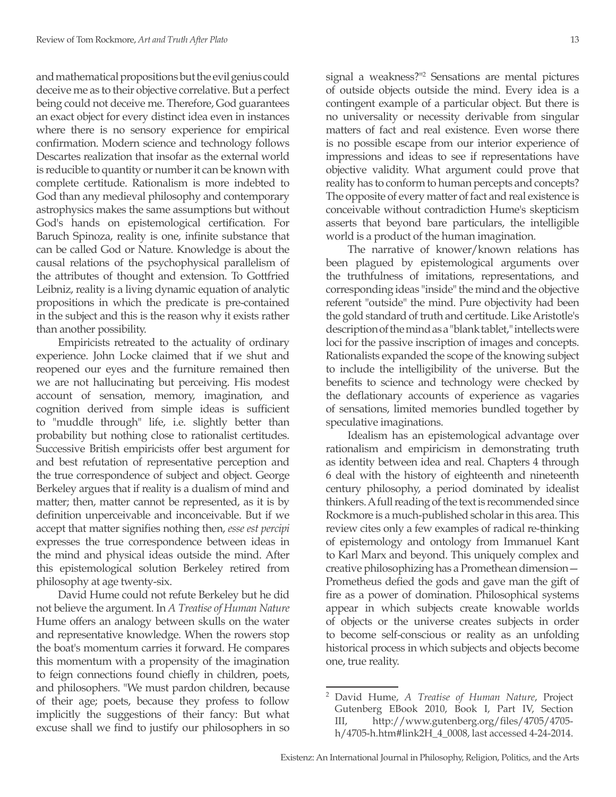and mathematical propositions but the evil genius could deceive me as to their objective correlative. But a perfect being could not deceive me. Therefore, God guarantees an exact object for every distinct idea even in instances where there is no sensory experience for empirical confirmation. Modern science and technology follows Descartes realization that insofar as the external world is reducible to quantity or number it can be known with complete certitude. Rationalism is more indebted to God than any medieval philosophy and contemporary astrophysics makes the same assumptions but without God's hands on epistemological certification. For Baruch Spinoza, reality is one, infinite substance that can be called God or Nature. Knowledge is about the causal relations of the psychophysical parallelism of the attributes of thought and extension. To Gottfried Leibniz, reality is a living dynamic equation of analytic propositions in which the predicate is pre-contained in the subject and this is the reason why it exists rather than another possibility.

Empiricists retreated to the actuality of ordinary experience. John Locke claimed that if we shut and reopened our eyes and the furniture remained then we are not hallucinating but perceiving. His modest account of sensation, memory, imagination, and cognition derived from simple ideas is sufficient to "muddle through" life, i.e. slightly better than probability but nothing close to rationalist certitudes. Successive British empiricists offer best argument for and best refutation of representative perception and the true correspondence of subject and object. George Berkeley argues that if reality is a dualism of mind and matter; then, matter cannot be represented, as it is by definition unperceivable and inconceivable. But if we accept that matter signifies nothing then, *esse est percipi* expresses the true correspondence between ideas in the mind and physical ideas outside the mind. After this epistemological solution Berkeley retired from philosophy at age twenty-six.

David Hume could not refute Berkeley but he did not believe the argument. In *A Treatise of Human Nature* Hume offers an analogy between skulls on the water and representative knowledge. When the rowers stop the boat's momentum carries it forward. He compares this momentum with a propensity of the imagination to feign connections found chiefly in children, poets, and philosophers. "We must pardon children, because of their age; poets, because they profess to follow implicitly the suggestions of their fancy: But what excuse shall we find to justify our philosophers in so signal a weakness?"2 Sensations are mental pictures of outside objects outside the mind. Every idea is a contingent example of a particular object. But there is no universality or necessity derivable from singular matters of fact and real existence. Even worse there is no possible escape from our interior experience of impressions and ideas to see if representations have objective validity. What argument could prove that reality has to conform to human percepts and concepts? The opposite of every matter of fact and real existence is conceivable without contradiction Hume's skepticism asserts that beyond bare particulars, the intelligible world is a product of the human imagination.

The narrative of knower/known relations has been plagued by epistemological arguments over the truthfulness of imitations, representations, and corresponding ideas "inside" the mind and the objective referent "outside" the mind. Pure objectivity had been the gold standard of truth and certitude. Like Aristotle's description of the mind as a "blank tablet," intellects were loci for the passive inscription of images and concepts. Rationalists expanded the scope of the knowing subject to include the intelligibility of the universe. But the benefits to science and technology were checked by the deflationary accounts of experience as vagaries of sensations, limited memories bundled together by speculative imaginations.

Idealism has an epistemological advantage over rationalism and empiricism in demonstrating truth as identity between idea and real. Chapters 4 through 6 deal with the history of eighteenth and nineteenth century philosophy, a period dominated by idealist thinkers. A full reading of the text is recommended since Rockmore is a much-published scholar in this area. This review cites only a few examples of radical re-thinking of epistemology and ontology from Immanuel Kant to Karl Marx and beyond. This uniquely complex and creative philosophizing has a Promethean dimension— Prometheus defied the gods and gave man the gift of fire as a power of domination. Philosophical systems appear in which subjects create knowable worlds of objects or the universe creates subjects in order to become self-conscious or reality as an unfolding historical process in which subjects and objects become one, true reality.

<sup>2</sup> David Hume, *A Treatise of Human Nature*, Project Gutenberg EBook 2010, Book I, Part IV, Section III, http://www.gutenberg.org/files/4705/4705 h/4705-h.htm#link2H\_4\_0008, last accessed 4-24-2014.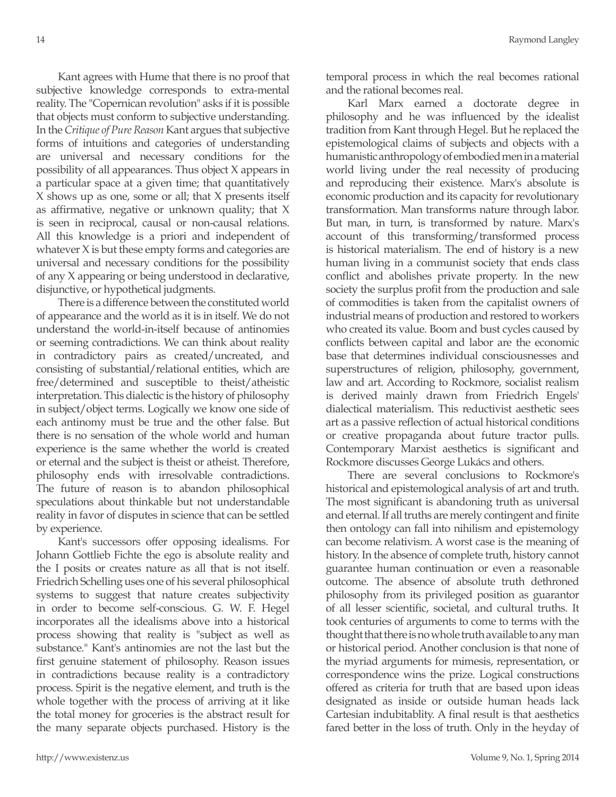Kant agrees with Hume that there is no proof that subjective knowledge corresponds to extra-mental reality. The "Copernican revolution" asks if it is possible that objects must conform to subjective understanding. In the *Critique of Pure Reason* Kant argues that subjective forms of intuitions and categories of understanding are universal and necessary conditions for the possibility of all appearances. Thus object X appears in a particular space at a given time; that quantitatively X shows up as one, some or all; that X presents itself as affirmative, negative or unknown quality; that X is seen in reciprocal, causal or non-causal relations. All this knowledge is a priori and independent of whatever X is but these empty forms and categories are universal and necessary conditions for the possibility of any X appearing or being understood in declarative, disjunctive, or hypothetical judgments.

There is a difference between the constituted world of appearance and the world as it is in itself. We do not understand the world-in-itself because of antinomies or seeming contradictions. We can think about reality in contradictory pairs as created/uncreated, and consisting of substantial/relational entities, which are free/determined and susceptible to theist/atheistic interpretation. This dialectic is the history of philosophy in subject/object terms. Logically we know one side of each antinomy must be true and the other false. But there is no sensation of the whole world and human experience is the same whether the world is created or eternal and the subject is theist or atheist. Therefore, philosophy ends with irresolvable contradictions. The future of reason is to abandon philosophical speculations about thinkable but not understandable reality in favor of disputes in science that can be settled by experience.

Kant's successors offer opposing idealisms. For Johann Gottlieb Fichte the ego is absolute reality and the I posits or creates nature as all that is not itself. Friedrich Schelling uses one of his several philosophical systems to suggest that nature creates subjectivity in order to become self-conscious. G. W. F. Hegel incorporates all the idealisms above into a historical process showing that reality is "subject as well as substance." Kant's antinomies are not the last but the first genuine statement of philosophy. Reason issues in contradictions because reality is a contradictory process. Spirit is the negative element, and truth is the whole together with the process of arriving at it like the total money for groceries is the abstract result for the many separate objects purchased. History is the temporal process in which the real becomes rational and the rational becomes real.

Karl Marx earned a doctorate degree in philosophy and he was influenced by the idealist tradition from Kant through Hegel. But he replaced the epistemological claims of subjects and objects with a humanistic anthropology of embodied men in a material world living under the real necessity of producing and reproducing their existence. Marx's absolute is economic production and its capacity for revolutionary transformation. Man transforms nature through labor. But man, in turn, is transformed by nature. Marx's account of this transforming/transformed process is historical materialism. The end of history is a new human living in a communist society that ends class conflict and abolishes private property. In the new society the surplus profit from the production and sale of commodities is taken from the capitalist owners of industrial means of production and restored to workers who created its value. Boom and bust cycles caused by conflicts between capital and labor are the economic base that determines individual consciousnesses and superstructures of religion, philosophy, government, law and art. According to Rockmore, socialist realism is derived mainly drawn from Friedrich Engels' dialectical materialism. This reductivist aesthetic sees art as a passive reflection of actual historical conditions or creative propaganda about future tractor pulls. Contemporary Marxist aesthetics is significant and Rockmore discusses George Lukács and others.

There are several conclusions to Rockmore's historical and epistemological analysis of art and truth. The most significant is abandoning truth as universal and eternal. If all truths are merely contingent and finite then ontology can fall into nihilism and epistemology can become relativism. A worst case is the meaning of history. In the absence of complete truth, history cannot guarantee human continuation or even a reasonable outcome. The absence of absolute truth dethroned philosophy from its privileged position as guarantor of all lesser scientific, societal, and cultural truths. It took centuries of arguments to come to terms with the thought that there is no whole truth available to any man or historical period. Another conclusion is that none of the myriad arguments for mimesis, representation, or correspondence wins the prize. Logical constructions offered as criteria for truth that are based upon ideas designated as inside or outside human heads lack Cartesian indubitablity. A final result is that aesthetics fared better in the loss of truth. Only in the heyday of